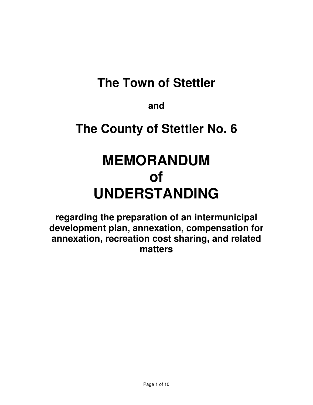# **The Town of Stettler**

**and** 

# **The County of Stettler No. 6**

# **MEMORANDUM of UNDERSTANDING**

**regarding the preparation of an intermunicipal development plan, annexation, compensation for annexation, recreation cost sharing, and related matters**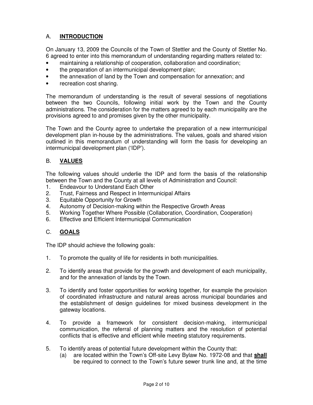# A. **INTRODUCTION**

On January 13, 2009 the Councils of the Town of Stettler and the County of Stettler No. 6 agreed to enter into this memorandum of understanding regarding matters related to:

- maintaining a relationship of cooperation, collaboration and coordination;
- the preparation of an intermunicipal development plan;
- the annexation of land by the Town and compensation for annexation; and
- recreation cost sharing.

The memorandum of understanding is the result of several sessions of negotiations between the two Councils, following initial work by the Town and the County administrations. The consideration for the matters agreed to by each municipality are the provisions agreed to and promises given by the other municipality.

The Town and the County agree to undertake the preparation of a new intermunicipal development plan in-house by the administrations. The values, goals and shared vision outlined in this memorandum of understanding will form the basis for developing an intermunicipal development plan ('IDP').

# B. **VALUES**

The following values should underlie the IDP and form the basis of the relationship between the Town and the County at all levels of Administration and Council:

- 1. Endeavour to Understand Each Other
- 2. Trust, Fairness and Respect in Intermunicipal Affairs
- 3. Equitable Opportunity for Growth
- 4. Autonomy of Decision-making within the Respective Growth Areas
- 5. Working Together Where Possible (Collaboration, Coordination, Cooperation)
- 6. Effective and Efficient Intermunicipal Communication

## C. **GOALS**

The IDP should achieve the following goals:

- 1. To promote the quality of life for residents in both municipalities.
- 2. To identify areas that provide for the growth and development of each municipality, and for the annexation of lands by the Town.
- 3. To identify and foster opportunities for working together, for example the provision of coordinated infrastructure and natural areas across municipal boundaries and the establishment of design guidelines for mixed business development in the gateway locations.
- 4. To provide a framework for consistent decision-making, intermunicipal communication, the referral of planning matters and the resolution of potential conflicts that is effective and efficient while meeting statutory requirements.
- 5. To identify areas of potential future development within the County that:
	- (a) are located within the Town's Off-site Levy Bylaw No. 1972-08 and that **shall** be required to connect to the Town's future sewer trunk line and, at the time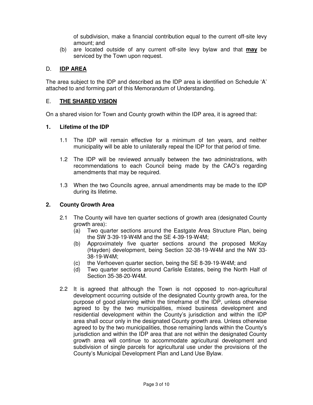of subdivision, make a financial contribution equal to the current off-site levy amount; and

(b) are located outside of any current off-site levy bylaw and that **may** be serviced by the Town upon request.

# D. **IDP AREA**

The area subject to the IDP and described as the IDP area is identified on Schedule 'A' attached to and forming part of this Memorandum of Understanding.

#### E. **THE SHARED VISION**

On a shared vision for Town and County growth within the IDP area, it is agreed that:

#### **1. Lifetime of the IDP**

- 1.1 The IDP will remain effective for a minimum of ten years, and neither municipality will be able to unilaterally repeal the IDP for that period of time.
- 1.2 The IDP will be reviewed annually between the two administrations, with recommendations to each Council being made by the CAO's regarding amendments that may be required.
- 1.3 When the two Councils agree, annual amendments may be made to the IDP during its lifetime.

#### **2. County Growth Area**

- 2.1 The County will have ten quarter sections of growth area (designated County growth area):
	- (a) Two quarter sections around the Eastgate Area Structure Plan, being the SW 3-39-19-W4M and the SE 4-39-19-W4M;
	- (b) Approximately five quarter sections around the proposed McKay (Hayden) development, being Section 32-38-19-W4M and the NW 33- 38-19-W4M;
	- (c) the Verhoeven quarter section, being the SE 8-39-19-W4M; and
	- (d) Two quarter sections around Carlisle Estates, being the North Half of Section 35-38-20-W4M.
- 2.2 It is agreed that although the Town is not opposed to non-agricultural development occurring outside of the designated County growth area, for the purpose of good planning within the timeframe of the IDP, unless otherwise agreed to by the two municipalities, mixed business development and residential development within the County's jurisdiction and within the IDP area shall occur only in the designated County growth area. Unless otherwise agreed to by the two municipalities, those remaining lands within the County's jurisdiction and within the IDP area that are not within the designated County growth area will continue to accommodate agricultural development and subdivision of single parcels for agricultural use under the provisions of the County's Municipal Development Plan and Land Use Bylaw.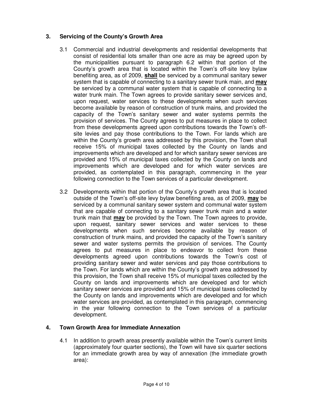# **3. Servicing of the County's Growth Area**

- 3.1 Commercial and industrial developments and residential developments that consist of residential lots smaller than one acre as may be agreed upon by the municipalities pursuant to paragraph 6.2 within that portion of the County's growth area that is located within the Town's off-site levy bylaw benefiting area, as of 2009, **shall** be serviced by a communal sanitary sewer system that is capable of connecting to a sanitary sewer trunk main, and **may** be serviced by a communal water system that is capable of connecting to a water trunk main. The Town agrees to provide sanitary sewer services and, upon request, water services to these developments when such services become available by reason of construction of trunk mains, and provided the capacity of the Town's sanitary sewer and water systems permits the provision of services. The County agrees to put measures in place to collect from these developments agreed upon contributions towards the Town's offsite levies and pay those contributions to the Town. For lands which are within the County's growth area addressed by this provision, the Town shall receive 15% of municipal taxes collected by the County on lands and improvements which are developed and for which sanitary sewer services are provided and 15% of municipal taxes collected by the County on lands and improvements which are developed and for which water services are provided, as contemplated in this paragraph, commencing in the year following connection to the Town services of a particular development.
- 3.2 Developments within that portion of the County's growth area that is located outside of the Town's off-site levy bylaw benefiting area, as of 2009, **may** be serviced by a communal sanitary sewer system and communal water system that are capable of connecting to a sanitary sewer trunk main and a water trunk main that **may** be provided by the Town. The Town agrees to provide, upon request, sanitary sewer services and water services to these developments when such services become available by reason of construction of trunk mains, and provided the capacity of the Town's sanitary sewer and water systems permits the provision of services. The County agrees to put measures in place to endeavor to collect from these developments agreed upon contributions towards the Town's cost of providing sanitary sewer and water services and pay those contributions to the Town. For lands which are within the County's growth area addressed by this provision, the Town shall receive 15% of municipal taxes collected by the County on lands and improvements which are developed and for which sanitary sewer services are provided and 15% of municipal taxes collected by the County on lands and improvements which are developed and for which water services are provided, as contemplated in this paragraph, commencing in the year following connection to the Town services of a particular development.

## **4. Town Growth Area for Immediate Annexation**

4.1 In addition to growth areas presently available within the Town's current limits (approximately four quarter sections), the Town will have six quarter sections for an immediate growth area by way of annexation (the immediate growth area):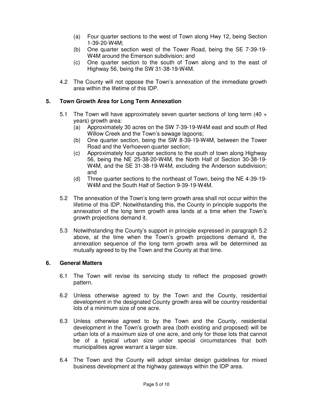- (a) Four quarter sections to the west of Town along Hwy 12, being Section 1-39-20-W4M;
- (b) One quarter section west of the Tower Road, being the SE 7-39-19- W4M around the Emerson subdivision; and
- (c) One quarter section to the south of Town along and to the east of Highway 56, being the SW 31-38-19-W4M.
- 4.2 The County will not oppose the Town's annexation of the immediate growth area within the lifetime of this IDP.

# **5. Town Growth Area for Long Term Annexation**

- 5.1 The Town will have approximately seven quarter sections of long term  $(40 +$ years) growth area:
	- (a) Approximately 30 acres on the SW 7-39-19-W4M east and south of Red Willow Creek and the Town's sewage lagoons;
	- (b) One quarter section, being the SW 8-39-19-W4M, between the Tower Road and the Verhoeven quarter section;
	- (c) Approximately four quarter sections to the south of town along Highway 56, being the NE 25-38-20-W4M, the North Half of Section 30-38-19- W4M, and the SE 31-38-19-W4M, excluding the Anderson subdivision; and
	- (d) Three quarter sections to the northeast of Town, being the NE 4-39-19- W4M and the South Half of Section 9-39-19-W4M.
- 5.2 The annexation of the Town's long term growth area shall not occur within the lifetime of this IDP. Notwithstanding this, the County in principle supports the annexation of the long term growth area lands at a time when the Town's growth projections demand it.
- 5.3 Notwithstanding the County's support in principle expressed in paragraph 5.2 above, at the time when the Town's growth projections demand it, the annexation sequence of the long term growth area will be determined as mutually agreed to by the Town and the County at that time.

## **6. General Matters**

- 6.1 The Town will revise its servicing study to reflect the proposed growth pattern.
- 6.2 Unless otherwise agreed to by the Town and the County, residential development in the designated County growth area will be country residential lots of a minimum size of one acre.
- 6.3 Unless otherwise agreed to by the Town and the County, residential development in the Town's growth area (both existing and proposed) will be urban lots of a maximum size of one acre, and only for those lots that cannot be of a typical urban size under special circumstances that both municipalities agree warrant a larger size.
- 6.4 The Town and the County will adopt similar design guidelines for mixed business development at the highway gateways within the IDP area.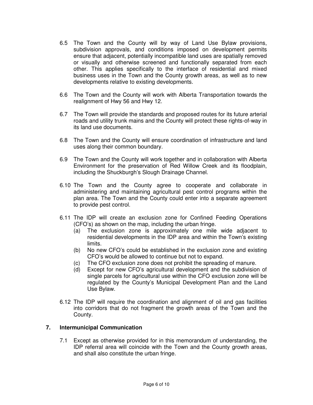- 6.5 The Town and the County will by way of Land Use Bylaw provisions, subdivision approvals, and conditions imposed on development permits ensure that adjacent, potentially incompatible land uses are spatially removed or visually and otherwise screened and functionally separated from each other. This applies specifically to the interface of residential and mixed business uses in the Town and the County growth areas, as well as to new developments relative to existing developments.
- 6.6 The Town and the County will work with Alberta Transportation towards the realignment of Hwy 56 and Hwy 12.
- 6.7 The Town will provide the standards and proposed routes for its future arterial roads and utility trunk mains and the County will protect these rights-of-way in its land use documents.
- 6.8 The Town and the County will ensure coordination of infrastructure and land uses along their common boundary.
- 6.9 The Town and the County will work together and in collaboration with Alberta Environment for the preservation of Red Willow Creek and its floodplain, including the Shuckburgh's Slough Drainage Channel.
- 6.10 The Town and the County agree to cooperate and collaborate in administering and maintaining agricultural pest control programs within the plan area. The Town and the County could enter into a separate agreement to provide pest control.
- 6.11 The IDP will create an exclusion zone for Confined Feeding Operations (CFO's) as shown on the map, including the urban fringe.
	- (a) The exclusion zone is approximately one mile wide adjacent to residential developments in the IDP area and within the Town's existing limits.
	- (b) No new CFO's could be established in the exclusion zone and existing CFO's would be allowed to continue but not to expand.
	- (c) The CFO exclusion zone does not prohibit the spreading of manure.
	- (d) Except for new CFO's agricultural development and the subdivision of single parcels for agricultural use within the CFO exclusion zone will be regulated by the County's Municipal Development Plan and the Land Use Bylaw.
- 6.12 The IDP will require the coordination and alignment of oil and gas facilities into corridors that do not fragment the growth areas of the Town and the County.

## **7. Intermunicipal Communication**

7.1 Except as otherwise provided for in this memorandum of understanding, the IDP referral area will coincide with the Town and the County growth areas, and shall also constitute the urban fringe.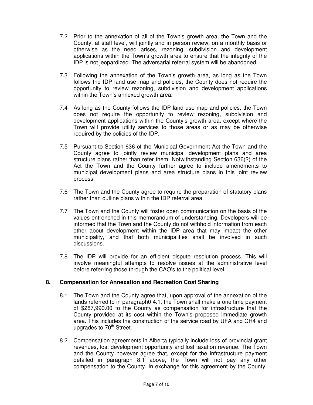- 7.2 Prior to the annexation of all of the Town's growth area, the Town and the County, at staff level, will jointly and in person review, on a monthly basis or otherwise as the need arises, rezoning, subdivision and development applications within the Town's growth area to ensure that the integrity of the IDP is not jeopardized. The adversarial referral system will be abandoned.
- 7.3 Following the annexation of the Town's growth area, as long as the Town follows the IDP land use map and policies, the County does not require the opportunity to review rezoning, subdivision and development applications within the Town's annexed growth area.
- 7.4 As long as the County follows the IDP land use map and policies, the Town does not require the opportunity to review rezoning, subdivision and development applications within the County's growth area, except where the Town will provide utility services to those areas or as may be otherwise required by the policies of the IDP.
- 7.5 Pursuant to Section 636 of the Municipal Government Act the Town and the County agree to jointly review municipal development plans and area structure plans rather than refer them. Notwithstanding Section 636(2) of the Act the Town and the County further agree to include amendments to municipal development plans and area structure plans in this joint review process.
- 7.6 The Town and the County agree to require the preparation of statutory plans rather than outline plans within the IDP referral area.
- 7.7 The Town and the County will foster open communication on the basis of the values entrenched in this memorandum of understanding. Developers will be informed that the Town and the County do not withhold information from each other about development within the IDP area that may impact the other municipality, and that both municipalities shall be involved in such discussions.
- 7.8 The IDP will provide for an efficient dispute resolution process. This will involve meaningful attempts to resolve issues at the administrative level before referring those through the CAO's to the political level.

## **8. Compensation for Annexation and Recreation Cost Sharing**

- 8.1 The Town and the County agree that, upon approval of the annexation of the lands referred to in paragraph0 4.1, the Town shall make a one time payment of \$287,990.00 to the County as compensation for infrastructure that the County provided at its cost within the Town's proposed immediate growth area. This includes the construction of the service road by UFA and CH4 and upgrades to  $70<sup>th</sup>$  Street.
- 8.2 Compensation agreements in Alberta typically include loss of provincial grant revenues, lost development opportunity and lost taxation revenue. The Town and the County however agree that, except for the infrastructure payment detailed in paragraph 8.1 above, the Town will not pay any other compensation to the County. In exchange for this agreement by the County,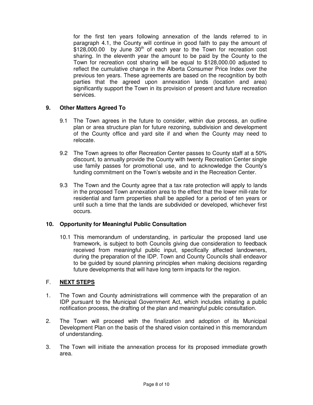for the first ten years following annexation of the lands referred to in paragraph 4.1, the County will continue in good faith to pay the amount of  $$128,000.00$  by June  $30<sup>th</sup>$  of each year to the Town for recreation cost sharing. In the eleventh year the amount to be paid by the County to the Town for recreation cost sharing will be equal to \$128,000.00 adjusted to reflect the cumulative change in the Alberta Consumer Price Index over the previous ten years. These agreements are based on the recognition by both parties that the agreed upon annexation lands (location and area) significantly support the Town in its provision of present and future recreation services.

# **9. Other Matters Agreed To**

- 9.1 The Town agrees in the future to consider, within due process, an outline plan or area structure plan for future rezoning, subdivision and development of the County office and yard site if and when the County may need to relocate.
- 9.2 The Town agrees to offer Recreation Center passes to County staff at a 50% discount, to annually provide the County with twenty Recreation Center single use family passes for promotional use, and to acknowledge the County's funding commitment on the Town's website and in the Recreation Center.
- 9.3 The Town and the County agree that a tax rate protection will apply to lands in the proposed Town annexation area to the effect that the lower mill-rate for residential and farm properties shall be applied for a period of ten years or until such a time that the lands are subdivided or developed, whichever first occurs.

## **10. Opportunity for Meaningful Public Consultation**

10.1 This memorandum of understanding, in particular the proposed land use framework, is subject to both Councils giving due consideration to feedback received from meaningful public input, specifically affected landowners, during the preparation of the IDP. Town and County Councils shall endeavor to be guided by sound planning principles when making decisions regarding future developments that will have long term impacts for the region.

# F. **NEXT STEPS**

- 1. The Town and County administrations will commence with the preparation of an IDP pursuant to the Municipal Government Act, which includes initiating a public notification process, the drafting of the plan and meaningful public consultation.
- 2. The Town will proceed with the finalization and adoption of its Municipal Development Plan on the basis of the shared vision contained in this memorandum of understanding.
- 3. The Town will initiate the annexation process for its proposed immediate growth area.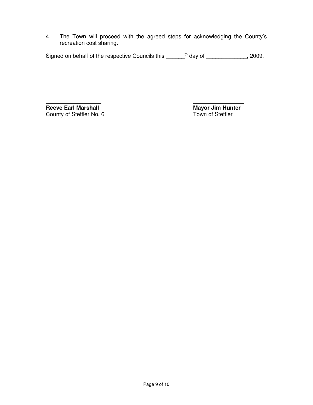4. The Town will proceed with the agreed steps for acknowledging the County's recreation cost sharing.

|  | Signed on behalf of the respective Councils this |  | <sup>th</sup> day of | 2009. |
|--|--------------------------------------------------|--|----------------------|-------|
|--|--------------------------------------------------|--|----------------------|-------|

**Reeve Earl Marshall Mayor Jim Hunter**<br>
County of Stettler No. 6 **Mayor Jim Hunter**<br>
Town of Stettler County of Stettler No. 6